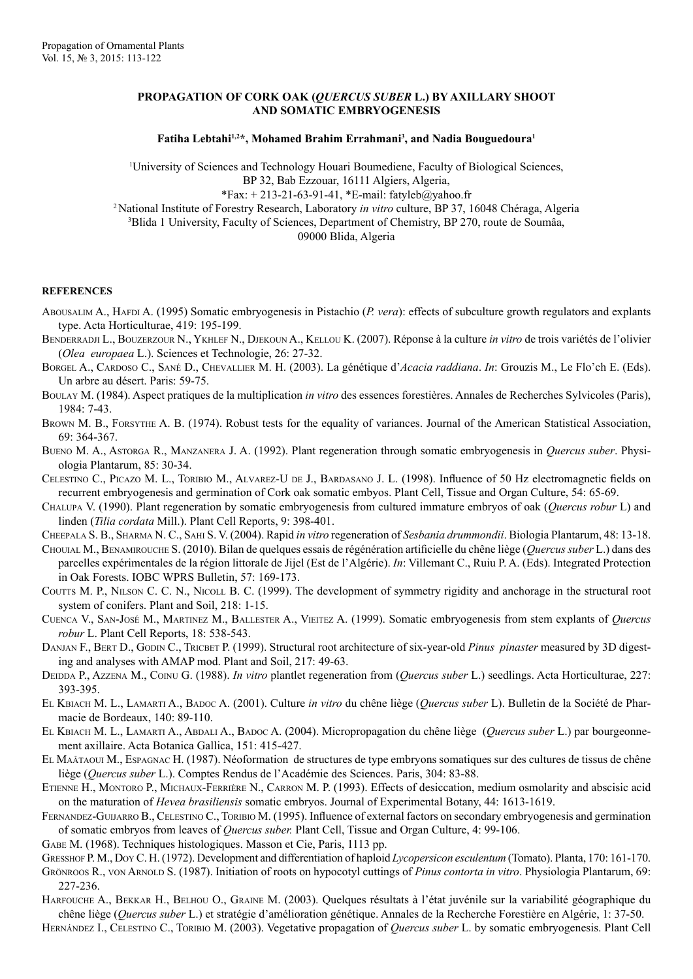## **PROPAGATION OF CORK OAK (***QUERCUS SUBER* **L.) BY AXILLARY SHOOT AND SOMATIC EMBRYOGENESIS**

## Fatiha Lebtahi<sup>1,2\*</sup>, Mohamed Brahim Errahmani<sup>3</sup>, and Nadia Bouguedoura<sup>1</sup>

1 University of Sciences and Technology Houari Boumediene, Faculty of Biological Sciences, BP 32, Bab Ezzouar, 16111 Algiers, Algeria,  $*Fax: +213-21-63-91-41, *E-mail: fatyleb@yahoo.fr$ 2 National Institute of Forestry Research, Laboratory *in vitro* culture, BP 37, 16048 Chéraga, Algeria 3 Blida 1 University, Faculty of Sciences, Department of Chemistry, BP 270, route de Soumâa, 09000 Blida, Algeria

## **REFERENCES**

- Abousalim A., Hafpi A. (1995) Somatic embryogenesis in Pistachio (*P. vera*): effects of subculture growth regulators and explants type. Acta Horticulturae, 419: 195-199.
- BENDERRADJI L., BOUZERZOUR N., YKHLEF N., DJEKOUN A., KELLOU K. (2007). Réponse à la culture *in vitro* de trois variétés de l'olivier (*Olea europaea* L.). Sciences et Technologie, 26: 27-32.
- Borgel A., Cardoso C., Sané D., Chevallier M. H. (2003). La génétique d'*Acacia raddiana*. *In*: Grouzis M., Le Flo'ch E. (Eds). Un arbre au désert. Paris: 59-75.
- Boulay M. (1984). Aspect pratiques de la multiplication *in vitro* des essences forestières. Annales de Recherches Sylvicoles (Paris), 1984: 7-43.
- Brown M. B., Forsythe A. B. (1974). Robust tests for the equality of variances. Journal of the American Statistical Association, 69: 364-367.
- Bueno M. A., Astorga R., Manzanera J. A. (1992). Plant regeneration through somatic embryogenesis in *Quercus suber*. Physiologia Plantarum, 85: 30-34.
- Celestino C., Picazo M. L., Toribio M., Alvarez-U de J., Bardasano J. L. (1998). Influence of 50 Hz electromagnetic fields on recurrent embryogenesis and germination of Cork oak somatic embyos. Plant Cell, Tissue and Organ Culture, 54: 65-69.
- Chalupa V. (1990). Plant regeneration by somatic embryogenesis from cultured immature embryos of oak (*Quercus robur* L) and linden (*Tilia cordata* Mill.). Plant Cell Reports, 9: 398-401.
- Cheepala S. B., Sharma N. C., Sahi S. V. (2004). Rapid *in vitro* regeneration of *Sesbania drummondii*. Biologia Plantarum, 48: 13-18.
- Chouial M., Benamirouche S. (2010). Bilan de quelques essais de régénération artificielle du chêne liège (*Quercus suber* L.) dans des parcelles expérimentales de la région littorale de Jijel (Est de l'Algérie). *In*: Villemant C., Ruiu P. A. (Eds). Integrated Protection in Oak Forests. IOBC WPRS Bulletin, 57: 169-173.
- COUTTS M. P., NILSON C. C. N., NICOLL B. C. (1999). The development of symmetry rigidity and anchorage in the structural root system of conifers. Plant and Soil, 218: 1-15.
- Cuenca V., San-José M., Martinez M., Ballester A., Vieitez A. (1999). Somatic embryogenesis from stem explants of *Quercus robur* L. Plant Cell Reports, 18: 538-543.
- DANJAN F., BERT D., GODIN C., TRICBET P. (1999). Structural root architecture of six-year-old *Pinus pinaster* measured by 3D digesting and analyses with AMAP mod. Plant and Soil, 217: 49-63.
- DEIDDA P., AZZENA M., COINU G. (1988). *In vitro* plantlet regeneration from (*Quercus suber L.*) seedlings. Acta Horticulturae, 227: 393-395.
- El Kbiach M. L., Lamarti A., Badoc A. (2001). Culture *in vitro* du chêne liège (*Quercus suber* L). Bulletin de la Société de Pharmacie de Bordeaux, 140: 89-110.
- El Kbiach M. L., Lamarti A., Abdali A., Badoc A. (2004). Micropropagation du chêne liège (*Quercus suber* L.) par bourgeonnement axillaire. Acta Botanica Gallica, 151: 415-427.
- El Maâtaoui M., Espagnac H. (1987). Néoformation de structures de type embryons somatiques sur des cultures de tissus de chêne liège (*Quercus suber* L.). Comptes Rendus de l'Académie des Sciences. Paris, 304: 83-88.
- Etienne H., Montoro P., Michaux-Ferrière N., Carron M. P. (1993). Effects of desiccation, medium osmolarity and abscisic acid on the maturation of *Hevea brasiliensis* somatic embryos. Journal of Experimental Botany, 44: 1613-1619.
- FERNANDEZ-GUIJARRO B., CELESTINO C., TORIBIO M. (1995). Influence of external factors on secondary embryogenesis and germination of somatic embryos from leaves of *Quercus suber.* Plant Cell, Tissue and Organ Culture, 4: 99-106.
- Gabe M. (1968). Techniques histologiques. Masson et Cie, Paris, 1113 pp.
- Gresshof P. M., Doy C. H. (1972). Development and differentiation of haploid *Lycopersicon esculentum* (Tomato). Planta, 170: 161-170.
- Grönroos R., von Arnold S. (1987). Initiation of roots on hypocotyl cuttings of *Pinus contorta in vitro*. Physiologia Plantarum, 69: 227-236.
- Harfouche A., Bekkar H., Belhou O., Graine M. (2003). Quelques résultats à l'état juvénile sur la variabilité géographique du chêne liège (*Quercus suber* L.) et stratégie d'amélioration génétique. Annales de la Recherche Forestière en Algérie, 1: 37-50.
- Hernández I., Celestino C., Toribio M. (2003). Vegetative propagation of *Quercus suber* L. by somatic embryogenesis. Plant Cell